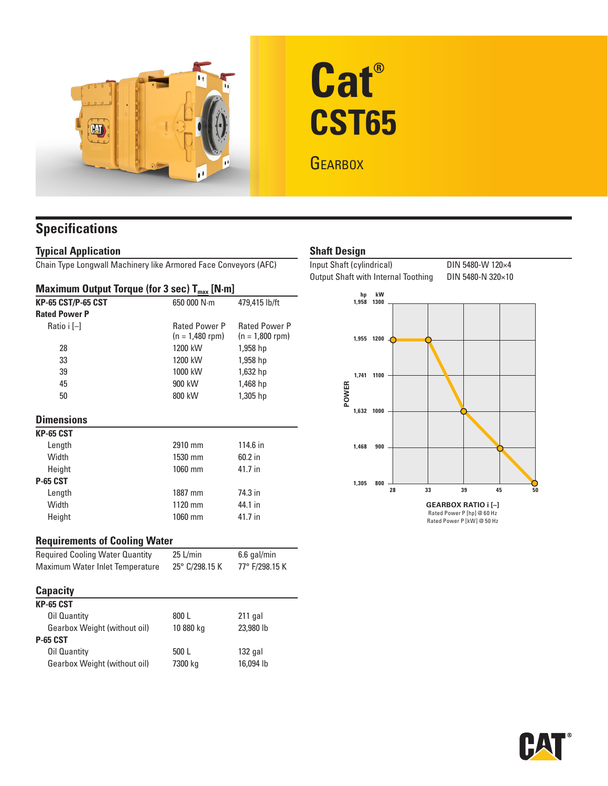

# **Cat® CST65 GEARBOX**

## **Specifications**

#### **Typical Application**

Chain Type Longwall Machinery like Armored Face Conveyors (AFC)

#### **Maximum Output Torque (for 3 sec) T<sub>max</sub> [N·m]**

|                                        | -, -шал к- -                              |                                           |
|----------------------------------------|-------------------------------------------|-------------------------------------------|
| <b>KP-65 CST/P-65 CST</b>              | 650 000 N·m                               | 479,415 lb/ft                             |
| <b>Rated Power P</b>                   |                                           |                                           |
| Ratio i [-]                            | <b>Rated Power P</b><br>$(n = 1,480$ rpm) | <b>Rated Power P</b><br>$(n = 1,800$ rpm) |
| 28                                     | 1200 kW                                   | 1,958 hp                                  |
| 33                                     | 1200 kW                                   | 1,958 hp                                  |
| 39                                     | 1000 kW                                   | 1,632 hp                                  |
| 45                                     | 900 kW                                    | 1,468 hp                                  |
| 50                                     | 800 kW                                    | 1,305 hp                                  |
| <b>Dimensions</b>                      |                                           |                                           |
| <b>KP-65 CST</b>                       |                                           |                                           |
| Length                                 | 2910 mm                                   | 114.6 in                                  |
| Width                                  | 1530 mm                                   | 60.2 in                                   |
| Height                                 | 1060 mm                                   | 41.7 in                                   |
| <b>P-65 CST</b>                        |                                           |                                           |
| Length                                 | 1887 mm                                   | 74.3 in                                   |
| Width                                  | 1120 mm                                   | 44.1 in                                   |
| Height                                 | 1060 mm                                   | 41.7 in                                   |
| <b>Requirements of Cooling Water</b>   |                                           |                                           |
| <b>Required Cooling Water Quantity</b> | 25 L/min                                  | 6.6 gal/min                               |
| Maximum Water Inlet Temperature        | 25° C/298.15 K                            | 77° F/298.15 K                            |
| <b>Capacity</b>                        |                                           |                                           |
| <b>KP-65 CST</b>                       |                                           |                                           |
| Oil Quantity                           | 800L                                      | 211 gal                                   |
| Gearbox Weight (without oil)           | 10 880 kg                                 | 23,980 lb                                 |
| <b>P-65 CST</b>                        |                                           |                                           |
| Oil Quantity                           | 500L                                      | $132$ gal                                 |
| Gearbox Weight (without oil)           | 7300 kg                                   | 16,094 lb                                 |
|                                        |                                           |                                           |

### **Shaft Design**